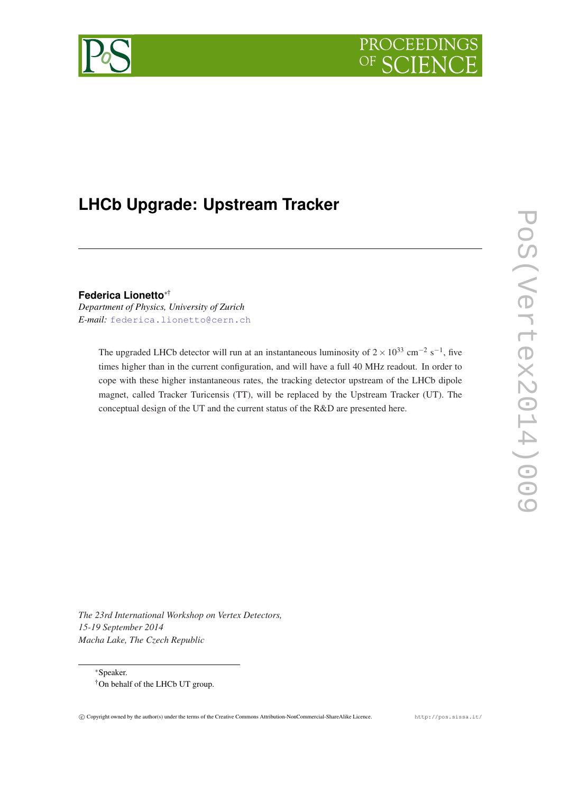



# **LHCb Upgrade: Upstream Tracker**

**Federica Lionetto**∗†

*Department of Physics, University of Zurich E-mail:* [federica.lionetto@cern.ch](mailto:federica.lionetto@cern.ch)

> The upgraded LHCb detector will run at an instantaneous luminosity of  $2 \times 10^{33}$  cm<sup>-2</sup> s<sup>-1</sup>, five times higher than in the current configuration, and will have a full 40 MHz readout. In order to cope with these higher instantaneous rates, the tracking detector upstream of the LHCb dipole magnet, called Tracker Turicensis (TT), will be replaced by the Upstream Tracker (UT). The conceptual design of the UT and the current status of the R&D are presented here.

PoS(Vertex2014)009 PoS(Vertex2014)009

*The 23rd International Workshop on Vertex Detectors, 15-19 September 2014 Macha Lake, The Czech Republic*

<sup>∗</sup>Speaker. †On behalf of the LHCb UT group.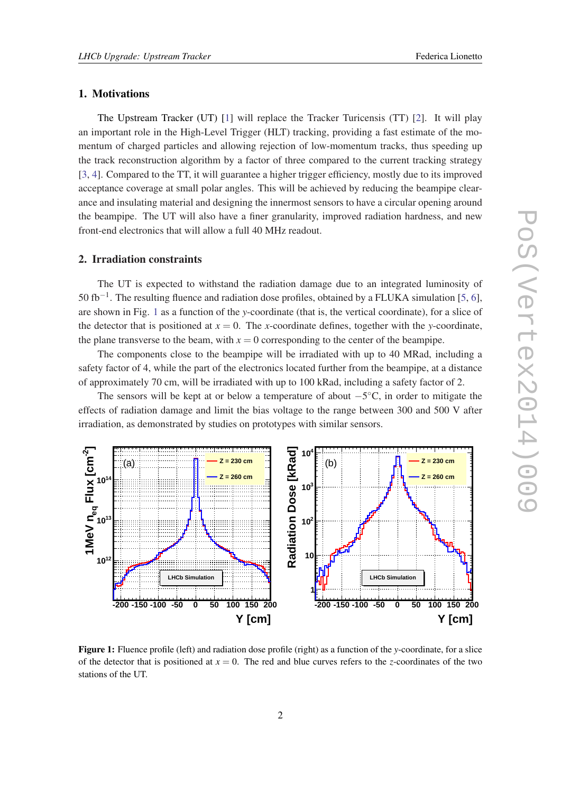# 1. Motivations

The Upstream Tracker (UT) [[1](#page-8-0)] will replace the Tracker Turicensis (TT) [[2\]](#page-8-0). It will play an important role in the High-Level Trigger (HLT) tracking, providing a fast estimate of the momentum of charged particles and allowing rejection of low-momentum tracks, thus speeding up the track reconstruction algorithm by a factor of three compared to the current tracking strategy [[3](#page-8-0), [4](#page-9-0)]. Compared to the TT, it will guarantee a higher trigger efficiency, mostly due to its improved acceptance coverage at small polar angles. This will be achieved by reducing the beampipe clearance and insulating material and designing the innermost sensors to have a circular opening around the beampipe. The UT will also have a finer granularity, improved radiation hardness, and new front-end electronics that will allow a full 40 MHz readout.

#### 2. Irradiation constraints

The UT is expected to withstand the radiation damage due to an integrated luminosity of 50 fb<sup>-1</sup>. The resulting fluence and radiation dose profiles, obtained by a FLUKA simulation [\[5,](#page-9-0) [6\]](#page-9-0), are shown in Fig. 1 as a function of the *y*-coordinate (that is, the vertical coordinate), for a slice of the detector that is positioned at  $x = 0$ . The *x*-coordinate defines, together with the *y*-coordinate, the plane transverse to the beam, with  $x = 0$  corresponding to the center of the beampipe.

The components close to the beampipe will be irradiated with up to 40 MRad, including a safety factor of 4, while the part of the electronics located further from the beampipe, at a distance of approximately 70 cm, will be irradiated with up to 100 kRad, including a safety factor of 2.

The sensors will be kept at or below a temperature of about  $-5^{\circ}$ C, in order to mitigate the effects of radiation damage and limit the bias voltage to the range between 300 and 500 V after irradiation, as demonstrated by studies on prototypes with similar sensors.



Figure 1: Fluence profile (left) and radiation dose profile (right) as a function of the *y*-coordinate, for a slice of the detector that is positioned at  $x = 0$ . The red and blue curves refers to the *z*-coordinates of the two stations of the UT.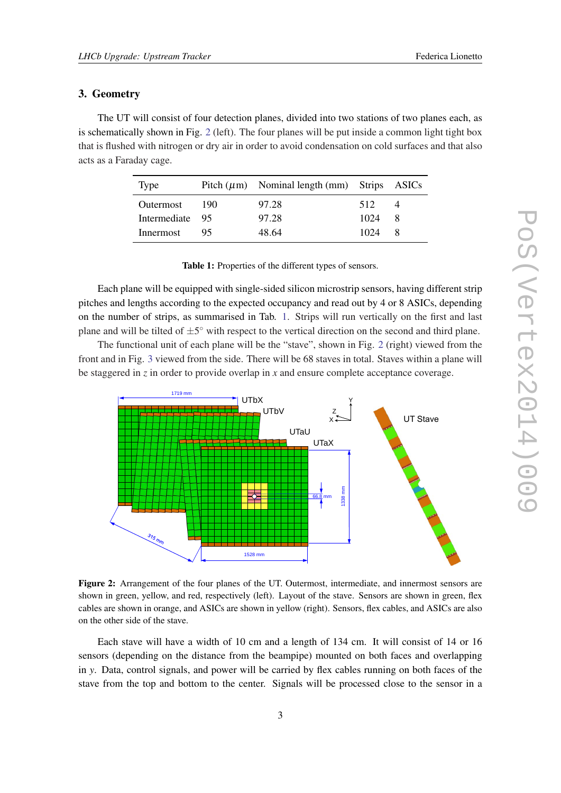### <span id="page-2-0"></span>3. Geometry

The UT will consist of four detection planes, divided into two stations of two planes each, as is schematically shown in Fig. 2 (left). The four planes will be put inside a common light tight box that is flushed with nitrogen or dry air in order to avoid condensation on cold surfaces and that also acts as a Faraday cage.

| Type            |       | Pitch $(\mu m)$ Nominal length $(mm)$ Strips ASICs |      |                |
|-----------------|-------|----------------------------------------------------|------|----------------|
| Outermost       | - 190 | 97.28                                              | 512  | $\overline{4}$ |
| Intermediate 95 |       | 97.28                                              | 1024 | -8             |
| Innermost       | 95    | 48.64                                              | 1024 | 8              |

Table 1: Properties of the different types of sensors.

Each plane will be equipped with single-sided silicon microstrip sensors, having different strip pitches and lengths according to the expected occupancy and read out by 4 or 8 ASICs, depending on the number of strips, as summarised in Tab. 1. Strips will run vertically on the first and last plane and will be tilted of  $\pm 5^{\circ}$  with respect to the vertical direction on the second and third plane.

The functional unit of each plane will be the "stave", shown in Fig. 2 (right) viewed from the front and in Fig. [3](#page-3-0) viewed from the side. There will be 68 staves in total. Staves within a plane will be staggered in *z* in order to provide overlap in *x* and ensure complete acceptance coverage.



Figure 2: Arrangement of the four planes of the UT. Outermost, intermediate, and innermost sensors are shown in green, yellow, and red, respectively (left). Layout of the stave. Sensors are shown in green, flex cables are shown in orange, and ASICs are shown in yellow (right). Sensors, flex cables, and ASICs are also on the other side of the stave.

Each stave will have a width of 10 cm and a length of 134 cm. It will consist of 14 or 16 sensors (depending on the distance from the beampipe) mounted on both faces and overlapping in *y*. Data, control signals, and power will be carried by flex cables running on both faces of the stave from the top and bottom to the center. Signals will be processed close to the sensor in a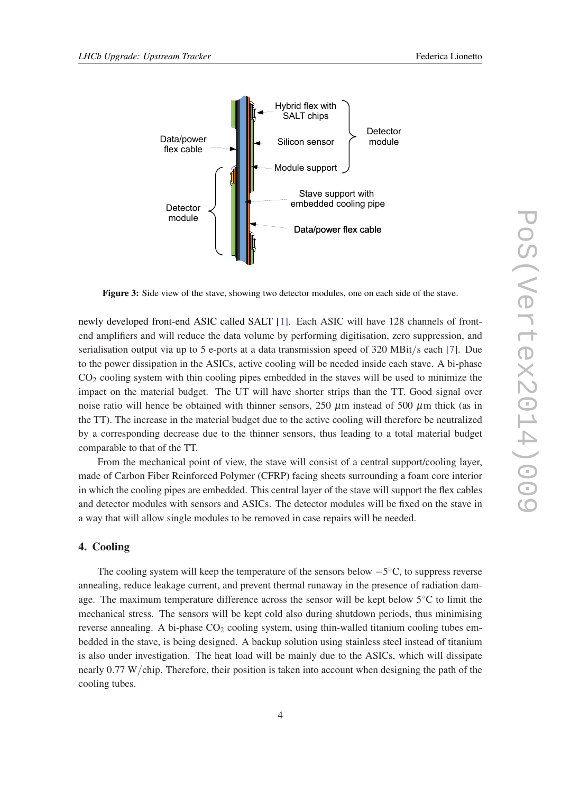<span id="page-3-0"></span>

Figure 3: Side view of the stave, showing two detector modules, one on each side of the stave.

newly developed front-end ASIC called SALT [[1](#page-8-0)]. Each ASIC will have 128 channels of frontend amplifiers and will reduce the data volume by performing digitisation, zero suppression, and serialisation output via up to 5 e-ports at a data transmission speed of 320 MBit/s each [\[7](#page-9-0)]. Due to the power dissipation in the ASICs, active cooling will be needed inside each stave. A bi-phase  $CO<sub>2</sub>$  cooling system with thin cooling pipes embedded in the staves will be used to minimize the impact on the material budget. The UT will have shorter strips than the TT. Good signal over noise ratio will hence be obtained with thinner sensors, 250  $\mu$ m instead of 500  $\mu$ m thick (as in the TT). The increase in the material budget due to the active cooling will therefore be neutralized by a corresponding decrease due to the thinner sensors, thus leading to a total material budget comparable to that of the TT.

From the mechanical point of view, the stave will consist of a central support/cooling layer, made of Carbon Fiber Reinforced Polymer (CFRP) facing sheets surrounding a foam core interior in which the cooling pipes are embedded. This central layer of the stave will support the flex cables and detector modules with sensors and ASICs. The detector modules will be fixed on the stave in a way that will allow single modules to be removed in case repairs will be needed.

#### 4. Cooling

The cooling system will keep the temperature of the sensors below  $-5^{\circ}$ C, to suppress reverse annealing, reduce leakage current, and prevent thermal runaway in the presence of radiation damage. The maximum temperature difference across the sensor will be kept below 5◦C to limit the mechanical stress. The sensors will be kept cold also during shutdown periods, thus minimising reverse annealing. A bi-phase  $CO<sub>2</sub>$  cooling system, using thin-walled titanium cooling tubes embedded in the stave, is being designed. A backup solution using stainless steel instead of titanium is also under investigation. The heat load will be mainly due to the ASICs, which will dissipate nearly 0.77 W/chip. Therefore, their position is taken into account when designing the path of the cooling tubes.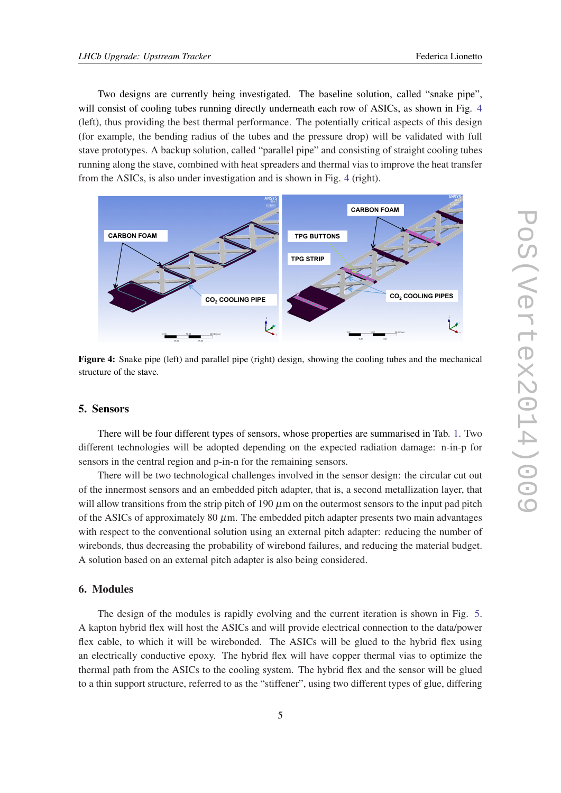Two designs are currently being investigated. The baseline solution, called "snake pipe", will consist of cooling tubes running directly underneath each row of ASICs, as shown in Fig. 4 (left), thus providing the best thermal performance. The potentially critical aspects of this design (for example, the bending radius of the tubes and the pressure drop) will be validated with full stave prototypes. A backup solution, called "parallel pipe" and consisting of straight cooling tubes running along the stave, combined with heat spreaders and thermal vias to improve the heat transfer from the ASICs, is also under investigation and is shown in Fig. 4 (right).



Figure 4: Snake pipe (left) and parallel pipe (right) design, showing the cooling tubes and the mechanical structure of the stave.

#### 5. Sensors

There will be four different types of sensors, whose properties are summarised in Tab. [1.](#page-2-0) Two different technologies will be adopted depending on the expected radiation damage: n-in-p for sensors in the central region and p-in-n for the remaining sensors.

There will be two technological challenges involved in the sensor design: the circular cut out of the innermost sensors and an embedded pitch adapter, that is, a second metallization layer, that will allow transitions from the strip pitch of 190  $\mu$ m on the outermost sensors to the input pad pitch of the ASICs of approximately 80  $\mu$ m. The embedded pitch adapter presents two main advantages with respect to the conventional solution using an external pitch adapter: reducing the number of wirebonds, thus decreasing the probability of wirebond failures, and reducing the material budget. A solution based on an external pitch adapter is also being considered.

#### 6. Modules

The design of the modules is rapidly evolving and the current iteration is shown in Fig. [5](#page-5-0). A kapton hybrid flex will host the ASICs and will provide electrical connection to the data/power flex cable, to which it will be wirebonded. The ASICs will be glued to the hybrid flex using an electrically conductive epoxy. The hybrid flex will have copper thermal vias to optimize the thermal path from the ASICs to the cooling system. The hybrid flex and the sensor will be glued to a thin support structure, referred to as the "stiffener", using two different types of glue, differing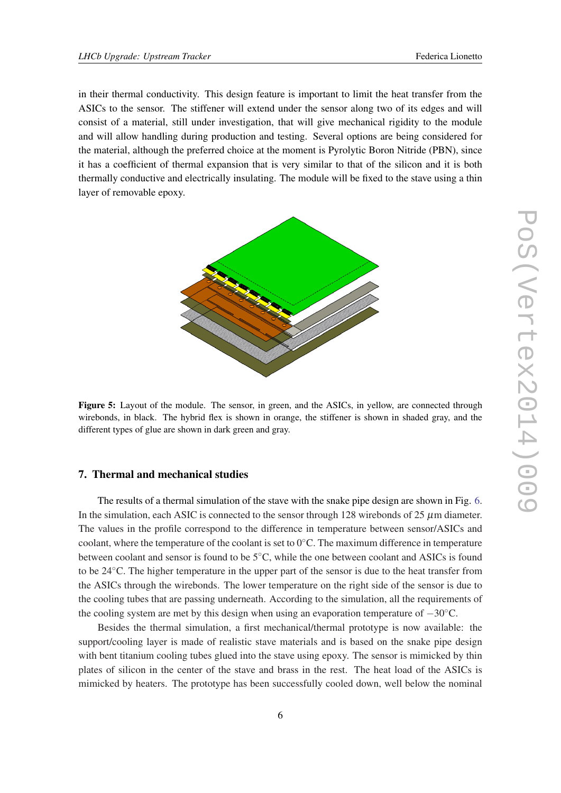<span id="page-5-0"></span>in their thermal conductivity. This design feature is important to limit the heat transfer from the ASICs to the sensor. The stiffener will extend under the sensor along two of its edges and will consist of a material, still under investigation, that will give mechanical rigidity to the module and will allow handling during production and testing. Several options are being considered for the material, although the preferred choice at the moment is Pyrolytic Boron Nitride (PBN), since it has a coefficient of thermal expansion that is very similar to that of the silicon and it is both thermally conductive and electrically insulating. The module will be fixed to the stave using a thin layer of removable epoxy.



Figure 5: Layout of the module. The sensor, in green, and the ASICs, in yellow, are connected through wirebonds, in black. The hybrid flex is shown in orange, the stiffener is shown in shaded gray, and the different types of glue are shown in dark green and gray.

#### 7. Thermal and mechanical studies

The results of a thermal simulation of the stave with the snake pipe design are shown in Fig. [6](#page-6-0). In the simulation, each ASIC is connected to the sensor through 128 wirebonds of  $25 \mu m$  diameter. The values in the profile correspond to the difference in temperature between sensor/ASICs and coolant, where the temperature of the coolant is set to  $0°C$ . The maximum difference in temperature between coolant and sensor is found to be 5◦C, while the one between coolant and ASICs is found to be 24◦C. The higher temperature in the upper part of the sensor is due to the heat transfer from the ASICs through the wirebonds. The lower temperature on the right side of the sensor is due to the cooling tubes that are passing underneath. According to the simulation, all the requirements of the cooling system are met by this design when using an evaporation temperature of −30◦C.

Besides the thermal simulation, a first mechanical/thermal prototype is now available: the support/cooling layer is made of realistic stave materials and is based on the snake pipe design with bent titanium cooling tubes glued into the stave using epoxy. The sensor is mimicked by thin plates of silicon in the center of the stave and brass in the rest. The heat load of the ASICs is mimicked by heaters. The prototype has been successfully cooled down, well below the nominal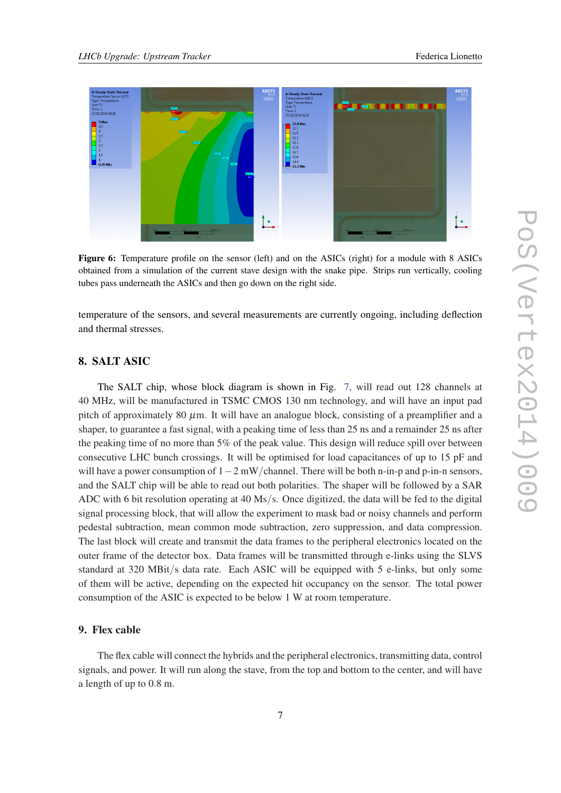<span id="page-6-0"></span>

Figure 6: Temperature profile on the sensor (left) and on the ASICs (right) for a module with 8 ASICs obtained from a simulation of the current stave design with the snake pipe. Strips run vertically, cooling tubes pass underneath the ASICs and then go down on the right side.

temperature of the sensors, and several measurements are currently ongoing, including deflection and thermal stresses.

# 8. SALT ASIC

The SALT chip, whose block diagram is shown in Fig. [7,](#page-7-0) will read out 128 channels at 40 MHz, will be manufactured in TSMC CMOS 130 nm technology, and will have an input pad pitch of approximately 80  $\mu$ m. It will have an analogue block, consisting of a preamplifier and a shaper, to guarantee a fast signal, with a peaking time of less than 25 ns and a remainder 25 ns after the peaking time of no more than 5% of the peak value. This design will reduce spill over between consecutive LHC bunch crossings. It will be optimised for load capacitances of up to 15 pF and will have a power consumption of  $1-2$  mW/channel. There will be both n-in-p and p-in-n sensors, and the SALT chip will be able to read out both polarities. The shaper will be followed by a SAR ADC with 6 bit resolution operating at 40 Ms/s. Once digitized, the data will be fed to the digital signal processing block, that will allow the experiment to mask bad or noisy channels and perform pedestal subtraction, mean common mode subtraction, zero suppression, and data compression. The last block will create and transmit the data frames to the peripheral electronics located on the outer frame of the detector box. Data frames will be transmitted through e-links using the SLVS standard at 320 MBit/s data rate. Each ASIC will be equipped with 5 e-links, but only some of them will be active, depending on the expected hit occupancy on the sensor. The total power consumption of the ASIC is expected to be below 1 W at room temperature.

## 9. Flex cable

The flex cable will connect the hybrids and the peripheral electronics, transmitting data, control signals, and power. It will run along the stave, from the top and bottom to the center, and will have a length of up to 0.8 m.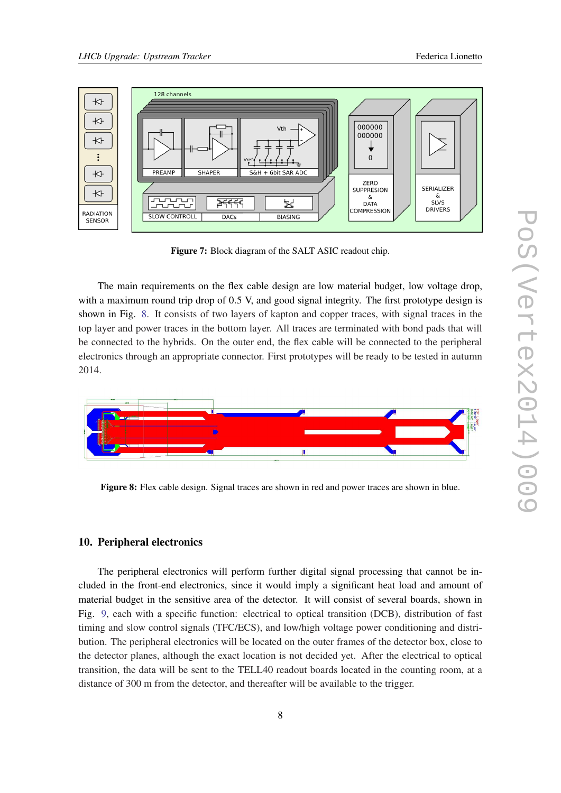<span id="page-7-0"></span>

Figure 7: Block diagram of the SALT ASIC readout chip.

The main requirements on the flex cable design are low material budget, low voltage drop, with a maximum round trip drop of 0.5 V, and good signal integrity. The first prototype design is shown in Fig. 8. It consists of two layers of kapton and copper traces, with signal traces in the top layer and power traces in the bottom layer. All traces are terminated with bond pads that will be connected to the hybrids. On the outer end, the flex cable will be connected to the peripheral electronics through an appropriate connector. First prototypes will be ready to be tested in autumn 2014.



Figure 8: Flex cable design. Signal traces are shown in red and power traces are shown in blue.

# 10. Peripheral electronics

The peripheral electronics will perform further digital signal processing that cannot be included in the front-end electronics, since it would imply a significant heat load and amount of material budget in the sensitive area of the detector. It will consist of several boards, shown in Fig. [9,](#page-8-0) each with a specific function: electrical to optical transition (DCB), distribution of fast timing and slow control signals (TFC/ECS), and low/high voltage power conditioning and distribution. The peripheral electronics will be located on the outer frames of the detector box, close to the detector planes, although the exact location is not decided yet. After the electrical to optical transition, the data will be sent to the TELL40 readout boards located in the counting room, at a distance of 300 m from the detector, and thereafter will be available to the trigger.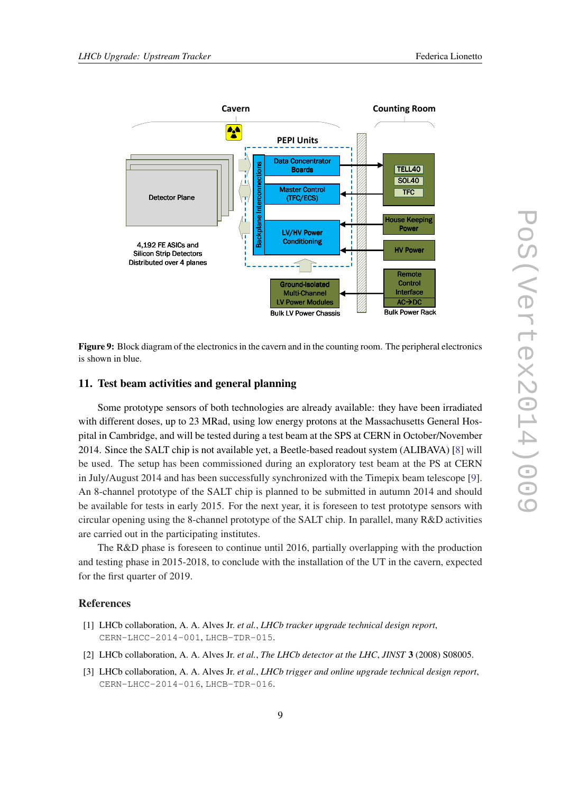<span id="page-8-0"></span>

Figure 9: Block diagram of the electronics in the cavern and in the counting room. The peripheral electronics is shown in blue.

#### 11. Test beam activities and general planning

Some prototype sensors of both technologies are already available: they have been irradiated with different doses, up to 23 MRad, using low energy protons at the Massachusetts General Hospital in Cambridge, and will be tested during a test beam at the SPS at CERN in October/November 2014. Since the SALT chip is not available yet, a Beetle-based readout system (ALIBAVA) [\[8\]](#page-9-0) will be used. The setup has been commissioned during an exploratory test beam at the PS at CERN in July/August 2014 and has been successfully synchronized with the Timepix beam telescope [\[9\]](#page-9-0). An 8-channel prototype of the SALT chip is planned to be submitted in autumn 2014 and should be available for tests in early 2015. For the next year, it is foreseen to test prototype sensors with circular opening using the 8-channel prototype of the SALT chip. In parallel, many R&D activities are carried out in the participating institutes.

The R&D phase is foreseen to continue until 2016, partially overlapping with the production and testing phase in 2015-2018, to conclude with the installation of the UT in the cavern, expected for the first quarter of 2019.

### References

- [1] LHCb collaboration, A. A. Alves Jr. *et al.*, *LHCb tracker upgrade technical design report*, CERN-LHCC-2014-001, LHCB-TDR-015.
- [2] LHCb collaboration, A. A. Alves Jr. *et al.*, *The LHCb detector at the LHC*, *JINST* 3 (2008) S08005.
- [3] LHCb collaboration, A. A. Alves Jr. *et al.*, *LHCb trigger and online upgrade technical design report*, CERN-LHCC-2014-016, LHCB-TDR-016.